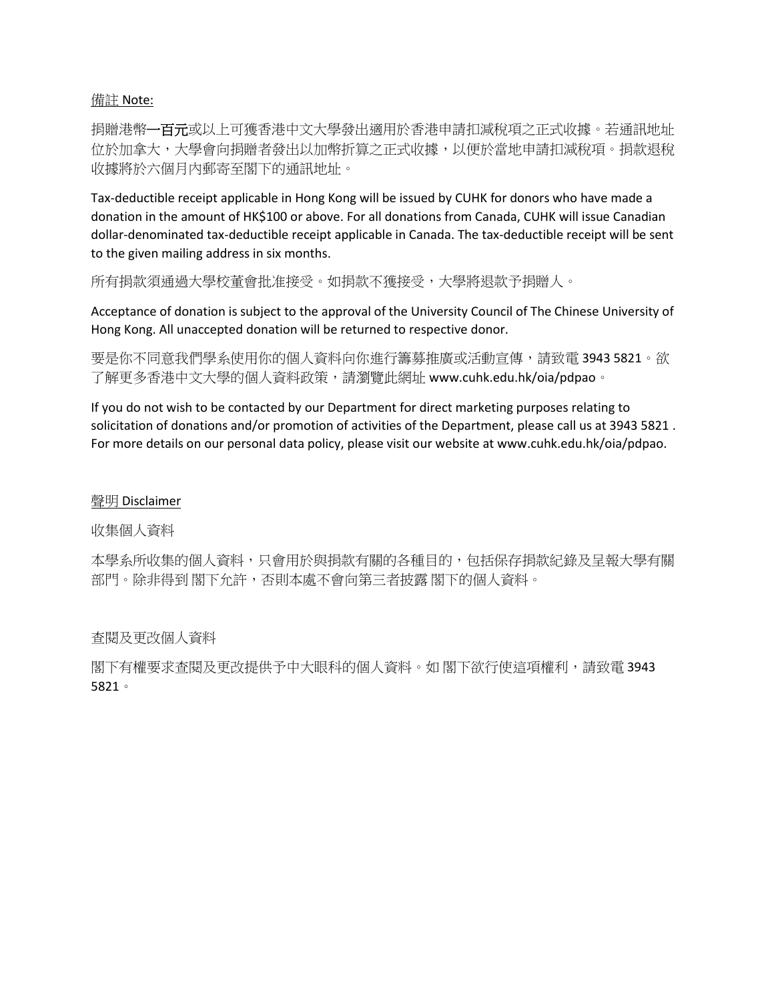## 備註 Note:

捐贈港幣一百元或以上可獲香港中文大學發出適用於香港申請扣減稅項之正式收據。若通訊地址 位於加拿大,大學會向捐贈者發出以加幣折算之正式收據,以便於當地申請扣減稅項。捐款退稅 收據將於六個月內郵寄至閣下的通訊地址。

Tax-deductible receipt applicable in Hong Kong will be issued by CUHK for donors who have made a donation in the amount of HK\$100 or above. For all donations from Canada, CUHK will issue Canadian dollar-denominated tax-deductible receipt applicable in Canada. The tax-deductible receipt will be sent to the given mailing address in six months.

所有捐款須通過大學校董會批准接受。如捐款不獲接受,大學將退款予捐贈人。

Acceptance of donation is subject to the approval of the University Council of The Chinese University of Hong Kong. All unaccepted donation will be returned to respective donor.

要是你不同意我們學系使用你的個人資料向你進行籌募推廣或活動宣傳,請致電 3943 5821。欲 了解更多香港中文大學的個人資料政策,請瀏覽此網址 www.cuhk.edu.hk/oia/pdpao。

If you do not wish to be contacted by our Department for direct marketing purposes relating to solicitation of donations and/or promotion of activities of the Department, please call us at 3943 5821 . For more details on our personal data policy, please visit our website at www.cuhk.edu.hk/oia/pdpao.

## 聲明 Disclaimer

收集個人資料

本學系所收集的個人資料,只會用於與捐款有關的各種目的,包括保存捐款紀錄及呈報大學有關 部門。除非得到 閣下允許,否則本處不會向第三者披露 閣下的個人資料。

查閱及更改個人資料

閣下有權要求查閱及更改提供予中大眼科的個人資料。如 閣下欲行使這項權利,請致電 3943 5821。